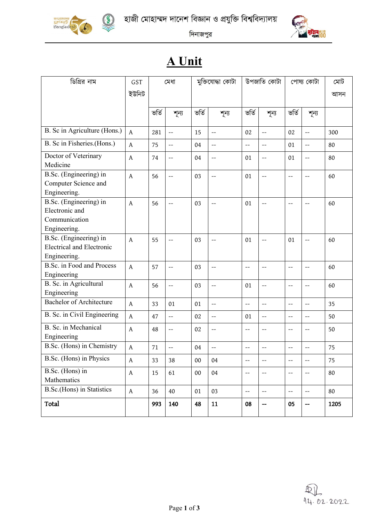

RWR





দিনাজপুর

## **A Unit**

| ডিগ্রির নাম                                                                | GST<br>ইউনিট | মুক্তিযোদ্ধা কোটা<br>মেধা |                          | উপজাতি কোটা |                          | পোষ্য কোটা               |                          | মোট<br>আসন                    |                          |      |
|----------------------------------------------------------------------------|--------------|---------------------------|--------------------------|-------------|--------------------------|--------------------------|--------------------------|-------------------------------|--------------------------|------|
|                                                                            |              | ভৰ্তি                     | শূন্য                    | ভৰ্তি       | শূন্য                    | ভৰ্তি                    | শূন্য                    | ভৰ্তি                         | শূন্য                    |      |
| B. Sc in Agriculture (Hons.)                                               | $\mathsf{A}$ | 281                       | $\overline{\phantom{a}}$ | 15          | $\overline{\phantom{a}}$ | 02                       | $-$                      | 02                            | $- -$                    | 300  |
| B. Sc in Fisheries.(Hons.)                                                 | $\mathsf{A}$ | 75                        | $-$                      | 04          | --                       | --                       | $-$                      | 01                            | $-$                      | 80   |
| Doctor of Veterinary<br>Medicine                                           | $\mathsf{A}$ | 74                        | $-$                      | 04          | $-$                      | 01                       | $-$                      | 01                            | $\qquad \qquad -$        | 80   |
| B.Sc. (Engineering) in<br>Computer Science and<br>Engineering.             | $\mathsf{A}$ | 56                        | $-$                      | 03          | $-$                      | 01                       | $-$                      | $\overline{\phantom{a}}$      | $\overline{\phantom{a}}$ | 60   |
| B.Sc. (Engineering) in<br>Electronic and<br>Communication<br>Engineering.  | A            | 56                        | $-$                      | 03          | $-$                      | 01                       | $-$                      | $\qquad \qquad -$             | $-$                      | 60   |
| B.Sc. (Engineering) in<br><b>Electrical and Electronic</b><br>Engineering. | A            | 55                        | $-$                      | 03          | $-$                      | 01                       | $-$                      | 01                            | $\overline{\phantom{a}}$ | 60   |
| <b>B.Sc.</b> in Food and Process<br>Engineering                            | $\mathsf{A}$ | 57                        | $-$                      | 03          | $-$                      | --                       | $-$                      | $\qquad \qquad -$             | $\qquad \qquad -$        | 60   |
| B. Sc. in Agricultural<br>Engineering                                      | A            | 56                        | $-$                      | 03          | $-$                      | 01                       | $-$                      | $-$                           | $\qquad \qquad -$        | 60   |
| <b>Bachelor of Architecture</b>                                            | $\mathsf{A}$ | 33                        | 01                       | 01          | $\overline{\phantom{0}}$ | $\overline{\phantom{0}}$ | $\overline{\phantom{a}}$ | $-$                           | $\overline{\phantom{a}}$ | 35   |
| B. Sc. in Civil Engineering                                                | A            | 47                        | $-$                      | 02          | $-$                      | 01                       | $- -$                    | $-$                           | $-$                      | 50   |
| B. Sc. in Mechanical<br>Engineering                                        | A            | 48                        | $-$                      | 02          | $-$                      | --                       | $-$                      | $\hspace{0.05cm} \textbf{--}$ | $-$                      | 50   |
| B.Sc. (Hons) in Chemistry                                                  | $\mathsf{A}$ | 71                        | $\overline{\phantom{0}}$ | 04          | --                       | --                       |                          |                               | $-$                      | 75   |
| B.Sc. (Hons) in Physics                                                    | $\mathsf{A}$ | 33                        | 38                       | 00          | 04                       | $-$                      | $\qquad \qquad -$        | $-\!$ –                       | $\overline{\phantom{m}}$ | 75   |
| B.Sc. (Hons) in<br>Mathematics                                             | $\mathsf{A}$ | 15                        | 61                       | $00\,$      | 04                       | --                       | --                       | $-\!$                         | $-\!$ $\!-$              | 80   |
| <b>B.Sc.(Hons)</b> in Statistics                                           | $\mathsf{A}$ | 36                        | 40                       | 01          | 03                       | $--$                     | $--$                     | $\overline{\phantom{m}}$      | $\overline{\phantom{m}}$ | 80   |
| Total                                                                      |              | 993                       | 140                      | 48          | 11                       | 08                       | --                       | 05                            | $\hspace{0.05cm}$ –      | 1205 |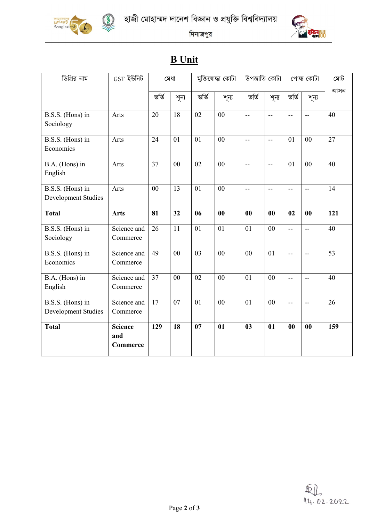





দিনাজপুর

## **B Unit**

| ডিগ্রির নাম                             | $GST$ ইউনিট                       | মেধা           |       | মুক্তিযোদ্ধা কোটা |                | উপজাতি কোটা              |                          | পোষ্য কোটা               |                          | মোট |
|-----------------------------------------|-----------------------------------|----------------|-------|-------------------|----------------|--------------------------|--------------------------|--------------------------|--------------------------|-----|
|                                         |                                   | ভৰ্তি          | শূন্য | ভৰ্তি             | শূন্য          | ভৰ্তি                    | শূন্য                    | ভৰ্তি                    | শূন্য                    | আসন |
| B.S.S. (Hons) in<br>Sociology           | Arts                              | 20             | 18    | 02                | 00             | $\overline{\phantom{a}}$ | $\overline{a}$           | $\overline{\phantom{a}}$ | $-$                      | 40  |
| B.S.S. (Hons) in<br>Economics           | Arts                              | 24             | 01    | 01                | 00             | --                       | $-$                      | 01                       | $00\,$                   | 27  |
| B.A. (Hons) in<br>English               | Arts                              | 37             | 00    | 02                | 00             | $\overline{\phantom{a}}$ | $\overline{\phantom{a}}$ | 01                       | 00                       | 40  |
| B.S.S. (Hons) in<br>Development Studies | Arts                              | 0 <sub>0</sub> | 13    | 01                | $00\,$         | Ξ.                       | ÷-                       | $\overline{\phantom{a}}$ | u.                       | 14  |
| <b>Total</b>                            | <b>Arts</b>                       | 81             | 32    | 06                | 00             | 00                       | 00                       | 02                       | 00                       | 121 |
| B.S.S. (Hons) in<br>Sociology           | Science and<br>Commerce           | 26             | 11    | 01                | 01             | 01                       | $00\,$                   | $\overline{a}$           | $\overline{\phantom{a}}$ | 40  |
| B.S.S. (Hons) in<br>Economics           | Science and<br>Commerce           | 49             | 00    | 03                | 0 <sub>0</sub> | 00                       | 01                       | 44                       | цц.                      | 53  |
| B.A. (Hons) in<br>English               | Science and<br>Commerce           | 37             | 00    | 02                | 00             | 01                       | $00\,$                   | $\overline{\phantom{a}}$ | $\overline{\phantom{a}}$ | 40  |
| B.S.S. (Hons) in<br>Development Studies | Science and<br>Commerce           | 17             | 07    | 01                | 00             | 01                       | 00                       | $\overline{\phantom{a}}$ | $\overline{\phantom{a}}$ | 26  |
| <b>Total</b>                            | <b>Science</b><br>and<br>Commerce | 129            | 18    | 07                | 01             | 03                       | 01                       | 00                       | 00                       | 159 |